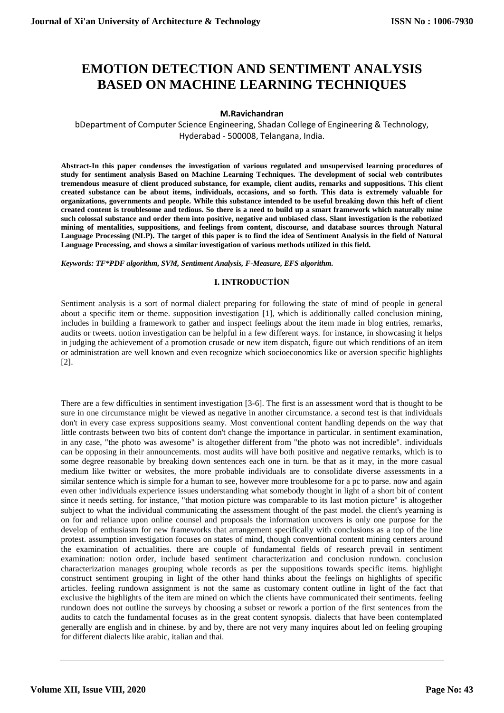# **EMOTION DETECTION AND SENTIMENT ANALYSIS BASED ON MACHINE LEARNING TECHNIQUES**

# **M.Ravichandran**

bDepartment of Computer Science Engineering, Shadan College of Engineering & Technology, Hyderabad - 500008, Telangana, India.

**Abstract-In this paper condenses the investigation of various regulated and unsupervised learning procedures of study for sentiment analysis Based on Machine Learning Techniques. The development of social web contributes tremendous measure of client produced substance, for example, client audits, remarks and suppositions. This client created substance can be about items, individuals, occasions, and so forth. This data is extremely valuable for organizations, governments and people. While this substance intended to be useful breaking down this heft of client created content is troublesome and tedious. So there is a need to build up a smart framework which naturally mine such colossal substance and order them into positive, negative and unbiased class. Slant investigation is the robotized mining of mentalities, suppositions, and feelings from content, discourse, and database sources through Natural Language Processing (NLP). The target of this paper is to find the idea of Sentiment Analysis in the field of Natural Language Processing, and shows a similar investigation of various methods utilized in this field.**

*Keywords: TF\*PDF algorithm, SVM, Sentiment Analysis, F-Measure, EFS algorithm.*

# **I. INTRODUCTİON**

Sentiment analysis is a sort of normal dialect preparing for following the state of mind of people in general about a specific item or theme. supposition investigation [1], which is additionally called conclusion mining, includes in building a framework to gather and inspect feelings about the item made in blog entries, remarks, audits or tweets. notion investigation can be helpful in a few different ways. for instance, in showcasing it helps in judging the achievement of a promotion crusade or new item dispatch, figure out which renditions of an item or administration are well known and even recognize which socioeconomics like or aversion specific highlights [2].

There are a few difficulties in sentiment investigation [3-6]. The first is an assessment word that is thought to be sure in one circumstance might be viewed as negative in another circumstance. a second test is that individuals don't in every case express suppositions seamy. Most conventional content handling depends on the way that little contrasts between two bits of content don't change the importance in particular. in sentiment examination, in any case, "the photo was awesome" is altogether different from "the photo was not incredible". individuals can be opposing in their announcements. most audits will have both positive and negative remarks, which is to some degree reasonable by breaking down sentences each one in turn. be that as it may, in the more casual medium like twitter or websites, the more probable individuals are to consolidate diverse assessments in a similar sentence which is simple for a human to see, however more troublesome for a pc to parse. now and again even other individuals experience issues understanding what somebody thought in light of a short bit of content since it needs setting. for instance, "that motion picture was comparable to its last motion picture" is altogether subject to what the individual communicating the assessment thought of the past model. the client's yearning is on for and reliance upon online counsel and proposals the information uncovers is only one purpose for the develop of enthusiasm for new frameworks that arrangement specifically with conclusions as a top of the line protest. assumption investigation focuses on states of mind, though conventional content mining centers around the examination of actualities. there are couple of fundamental fields of research prevail in sentiment examination: notion order, include based sentiment characterization and conclusion rundown. conclusion characterization manages grouping whole records as per the suppositions towards specific items. highlight construct sentiment grouping in light of the other hand thinks about the feelings on highlights of specific articles. feeling rundown assignment is not the same as customary content outline in light of the fact that exclusive the highlights of the item are mined on which the clients have communicated their sentiments. feeling rundown does not outline the surveys by choosing a subset or rework a portion of the first sentences from the audits to catch the fundamental focuses as in the great content synopsis. dialects that have been contemplated generally are english and in chinese. by and by, there are not very many inquires about led on feeling grouping for different dialects like arabic, italian and thai.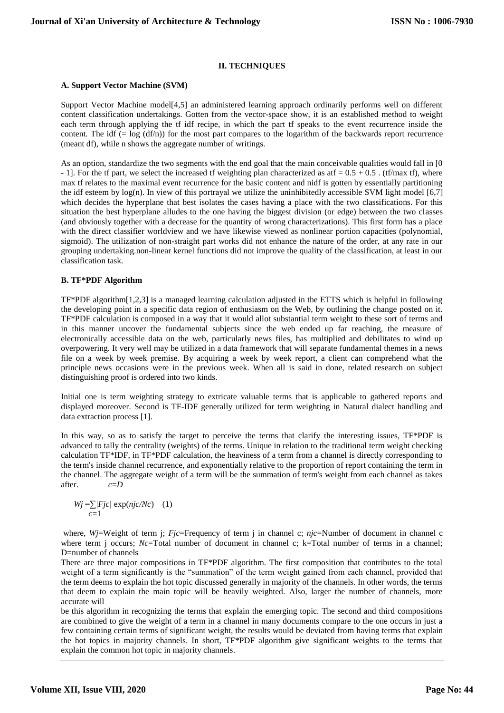# **II. TECHNIQUES**

#### **A. Support Vector Machine (SVM)**

Support Vector Machine model[4,5] an administered learning approach ordinarily performs well on different content classification undertakings. Gotten from the vector-space show, it is an established method to weight each term through applying the tf idf recipe, in which the part tf speaks to the event recurrence inside the content. The idf  $(= \log (df/n))$  for the most part compares to the logarithm of the backwards report recurrence (meant df), while n shows the aggregate number of writings.

As an option, standardize the two segments with the end goal that the main conceivable qualities would fall in [0 - 1]. For the tf part, we select the increased tf weighting plan characterized as at  $f = 0.5 + 0.5$ . (tf/max tf), where max tf relates to the maximal event recurrence for the basic content and nidf is gotten by essentially partitioning the idf esteem by log(n). In view of this portrayal we utilize the uninhibitedly accessible SVM light model [6,7] which decides the hyperplane that best isolates the cases having a place with the two classifications. For this situation the best hyperplane alludes to the one having the biggest division (or edge) between the two classes (and obviously together with a decrease for the quantity of wrong characterizations). This first form has a place with the direct classifier worldview and we have likewise viewed as nonlinear portion capacities (polynomial, sigmoid). The utilization of non-straight part works did not enhance the nature of the order, at any rate in our grouping undertaking.non-linear kernel functions did not improve the quality of the classification, at least in our classification task.

# **B. TF\*PDF Algorithm'**

TF\*PDF algorithm[1,2,3] is a managed learning calculation adjusted in the ETTS which is helpful in following the developing point in a specific data region of enthusiasm on the Web, by outlining the change posted on it. TF\*PDF calculation is composed in a way that it would allot substantial term weight to these sort of terms and in this manner uncover the fundamental subjects since the web ended up far reaching, the measure of electronically accessible data on the web, particularly news files, has multiplied and debilitates to wind up overpowering. It very well may be utilized in a data framework that will separate fundamental themes in a news file on a week by week premise. By acquiring a week by week report, a client can comprehend what the principle news occasions were in the previous week. When all is said in done, related research on subject distinguishing proof is ordered into two kinds.

Initial one is term weighting strategy to extricate valuable terms that is applicable to gathered reports and displayed moreover. Second is TF-IDF generally utilized for term weighting in Natural dialect handling and data extraction process [1].

In this way, so as to satisfy the target to perceive the terms that clarify the interesting issues, TF\*PDF is advanced to tally the centrality (weights) of the terms. Unique in relation to the traditional term weight checking calculation TF\*IDF, in TF\*PDF calculation, the heaviness of a term from a channel is directly corresponding to the term's inside channel recurrence, and exponentially relative to the proportion of report containing the term in the channel. The aggregate weight of a term will be the summation of term's weight from each channel as takes after. *c*=*D*

$$
Wj = \sum_{c=1}^{r} |Fjc| \exp(njc/Ne) \quad (1)
$$

where, *Wj*=Weight of term j; *Fjc*=Frequency of term j in channel c; *njc*=Number of document in channel c where term j occurs; *Nc*=Total number of document in channel c; k=Total number of terms in a channel; D=number of channels

There are three major compositions in TF\*PDF algorithm. The first composition that contributes to the total weight of a term significantly is the "summation" of the term weight gained from each channel, provided that the term deems to explain the hot topic discussed generally in majority of the channels. In other words, the terms that deem to explain the main topic will be heavily weighted. Also, larger the number of channels, more accurate will

be this algorithm in recognizing the terms that explain the emerging topic. The second and third compositions are combined to give the weight of a term in a channel in many documents compare to the one occurs in just a few containing certain terms of significant weight, the results would be deviated from having terms that explain the hot topics in majority channels. In short, TF\*PDF algorithm give significant weights to the terms that explain the common hot topic in majority channels.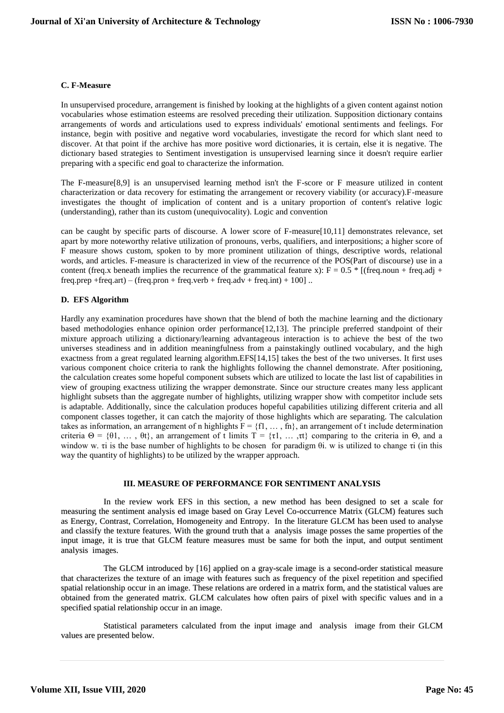# **C. F-Measure**

In unsupervised procedure, arrangement is finished by looking at the highlights of a given content against notion vocabularies whose estimation esteems are resolved preceding their utilization. Supposition dictionary contains arrangements of words and articulations used to express individuals' emotional sentiments and feelings. For instance, begin with positive and negative word vocabularies, investigate the record for which slant need to discover. At that point if the archive has more positive word dictionaries, it is certain, else it is negative. The dictionary based strategies to Sentiment investigation is unsupervised learning since it doesn't require earlier preparing with a specific end goal to characterize the information.

The F-measure[8,9] is an unsupervised learning method isn't the F-score or F measure utilized in content characterization or data recovery for estimating the arrangement or recovery viability (or accuracy).F-measure investigates the thought of implication of content and is a unitary proportion of content's relative logic (understanding), rather than its custom (unequivocality). Logic and convention

can be caught by specific parts of discourse. A lower score of F-measure[10,11] demonstrates relevance, set apart by more noteworthy relative utilization of pronouns, verbs, qualifiers, and interpositions; a higher score of F measure shows custom, spoken to by more prominent utilization of things, descriptive words, relational words, and articles. F-measure is characterized in view of the recurrence of the POS(Part of discourse) use in a content (freq.x beneath implies the recurrence of the grammatical feature x):  $F = 0.5 * [(freq.noun + freq.adj +$ freq.prep +freq.art) – (freq.pron + freq.verb + freq.adv + freq.int) + 100].

# **D. EFS Algorithm**

Hardly any examination procedures have shown that the blend of both the machine learning and the dictionary based methodologies enhance opinion order performance[12,13]. The principle preferred standpoint of their mixture approach utilizing a dictionary/learning advantageous interaction is to achieve the best of the two universes steadiness and in addition meaningfulness from a painstakingly outlined vocabulary, and the high exactness from a great regulated learning algorithm.EFS[14,15] takes the best of the two universes. It first uses various component choice criteria to rank the highlights following the channel demonstrate. After positioning, the calculation creates some hopeful component subsets which are utilized to locate the last list of capabilities in view of grouping exactness utilizing the wrapper demonstrate. Since our structure creates many less applicant highlight subsets than the aggregate number of highlights, utilizing wrapper show with competitor include sets is adaptable. Additionally, since the calculation produces hopeful capabilities utilizing different criteria and all component classes together, it can catch the majority of those highlights which are separating. The calculation takes as information, an arrangement of n highlights  $F = \{f1, \dots, fn\}$ , an arrangement of t include determination criteria  $\Theta = \{\theta_1, \dots, \theta_t\}$ , an arrangement of t limits  $T = \{\tau_1, \dots, \tau_t\}$  comparing to the criteria in  $\Theta$ , and a window w. τi is the base number of highlights to be chosen for paradigm θi. w is utilized to change τi (in this way the quantity of highlights) to be utilized by the wrapper approach.

## **III. MEASURE OF PERFORMANCE FOR SENTIMENT ANALYSIS**

In the review work EFS in this section, a new method has been designed to set a scale for measuring the sentiment analysis ed image based on Gray Level Co-occurrence Matrix (GLCM) features such as Energy, Contrast, Correlation, Homogeneity and Entropy. In the literature GLCM has been used to analyse and classify the texture features. With the ground truth that a analysis image posses the same properties of the input image, it is true that GLCM feature measures must be same for both the input, and output sentiment analysis images.

The GLCM introduced by [16] applied on a gray-scale image is a second-order statistical measure that characterizes the texture of an image with features such as frequency of the pixel repetition and specified spatial relationship occur in an image. These relations are ordered in a matrix form, and the statistical values are obtained from the generated matrix. GLCM calculates how often pairs of pixel with specific values and in a specified spatial relationship occur in an image.

Statistical parameters calculated from the input image and analysis image from their GLCM values are presented below.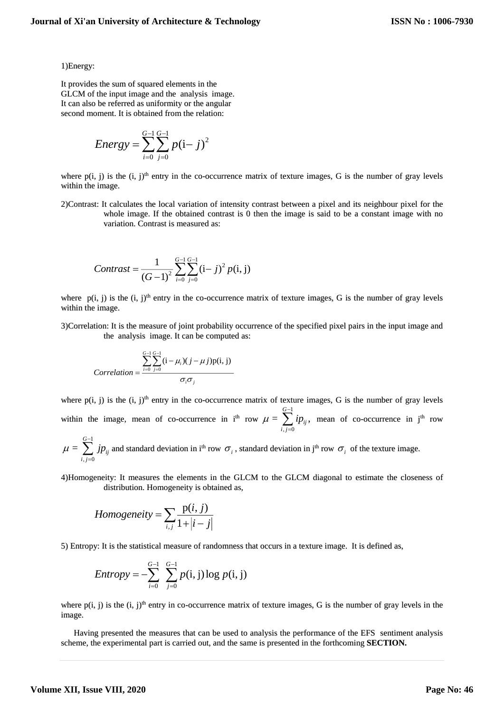1)Energy:

It provides the sum of squared elements in the GLCM of the input image and the analysis image. It can also be referred as uniformity or the angular second moment. It is obtained from the relation:

Energy = 
$$
\sum_{i=0}^{G-1} \sum_{j=0}^{G-1} p(i-j)^2
$$

where  $p(i, j)$  is the  $(i, j)<sup>th</sup>$  entry in the co-occurrence matrix of texture images, G is the number of gray levels within the image.

2)Contrast: It calculates the local variation of intensity contrast between a pixel and its neighbour pixel for the whole image. If the obtained contrast is 0 then the image is said to be a constant image with no variation. Contrast is measured as:

$$
Contrast = \frac{1}{(G-1)^2} \sum_{i=0}^{G-1} \sum_{j=0}^{G-1} (i-j)^2 p(i, j)
$$

where  $p(i, j)$  is the  $(i, j)$ <sup>th</sup> entry in the co-occurrence matrix of texture images, G is the number of gray levels within the image.

3)Correlation: It is the measure of joint probability occurrence of the specified pixel pairs in the input image and the analysis image. It can be computed as:

$$
Correlation = \frac{\sum_{i=0}^{G-1} \sum_{j=0}^{G-1} (i - \mu_i)(j - \mu j)p(i, j)}{\sigma_i \sigma_j}
$$

where  $p(i, j)$  is the  $(i, j)$ <sup>th</sup> entry in the co-occurrence matrix of texture images, G is the number of gray levels within the image, mean of co-occurrence in i<sup>th</sup> row 1 ,  $j=0$  $\mu = \sum_i \nu_i$ *G ij i j*  $\mu = \sum_{i=1}^{Q-1} i p$  $\sum_{i=0} i p_{ij}$ , mean of co-occurrence in j<sup>th</sup> row

$$
\mu = \sum_{i,j=0}^{G-1} j p_{ij}
$$
 and standard deviation in *i*<sup>th</sup> row  $\sigma_i$ , standard deviation in *j*<sup>th</sup> row  $\sigma_i$  of the texture image.

4)Homogeneity: It measures the elements in the GLCM to the GLCM diagonal to estimate the closeness of distribution. Homogeneity is obtained as,

$$
Homogeneity = \sum_{i,j} \frac{p(i,j)}{1+|i-j|}
$$

5) Entropy: It is the statistical measure of randomness that occurs in a texture image. It is defined as,

$$
Entropy = -\sum_{i=0}^{G-1} \sum_{j=0}^{G-1} p(i, j) \log p(i, j)
$$

where  $p(i, j)$  is the  $(i, j)$ <sup>th</sup> entry in co-occurrence matrix of texture images, G is the number of gray levels in the image.

Having presented the measures that can be used to analysis the performance of the EFS sentiment analysis scheme, the experimental part is carried out, and the same is presented in the forthcoming **SECTION.**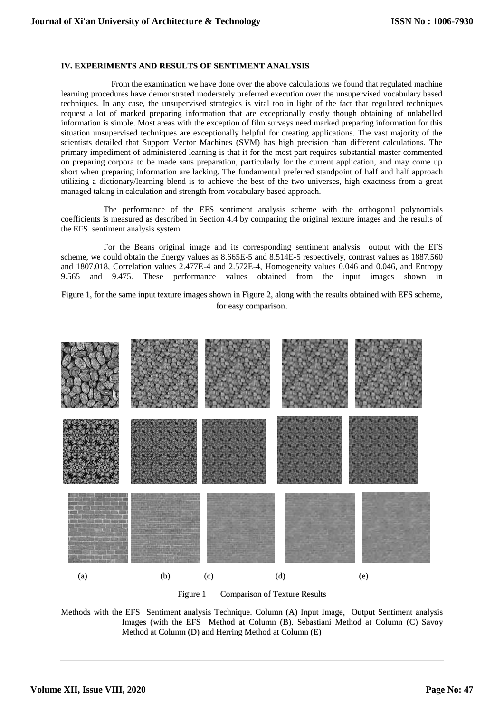## **IV. EXPERIMENTS AND RESULTS OF SENTIMENT ANALYSIS**

 From the examination we have done over the above calculations we found that regulated machine learning procedures have demonstrated moderately preferred execution over the unsupervised vocabulary based techniques. In any case, the unsupervised strategies is vital too in light of the fact that regulated techniques request a lot of marked preparing information that are exceptionally costly though obtaining of unlabelled information is simple. Most areas with the exception of film surveys need marked preparing information for this situation unsupervised techniques are exceptionally helpful for creating applications. The vast majority of the scientists detailed that Support Vector Machines (SVM) has high precision than different calculations. The primary impediment of administered learning is that it for the most part requires substantial master commented on preparing corpora to be made sans preparation, particularly for the current application, and may come up short when preparing information are lacking. The fundamental preferred standpoint of half and half approach utilizing a dictionary/learning blend is to achieve the best of the two universes, high exactness from a great managed taking in calculation and strength from vocabulary based approach.

The performance of the EFS sentiment analysis scheme with the orthogonal polynomials coefficients is measured as described in Section 4.4 by comparing the original texture images and the results of the EFS sentiment analysis system.

For the Beans original image and its corresponding sentiment analysis output with the EFS scheme, we could obtain the Energy values as 8.665E-5 and 8.514E-5 respectively, contrast values as 1887.560 and 1807.018, Correlation values 2.477E-4 and 2.572E-4, Homogeneity values 0.046 and 0.046, and Entropy 9.565 and 9.475. These performance values obtained from the input images shown in

Figure 1, for the same input texture images shown in Figure 2, along with the results obtained with EFS scheme, for easy comparison.



Figure 1 Comparison of Texture Results

Methods with the EFS Sentiment analysis Technique. Column (A) Input Image, Output Sentiment analysis Images (with the EFS Method at Column (B). Sebastiani Method at Column (C) Savoy Method at Column (D) and Herring Method at Column (E)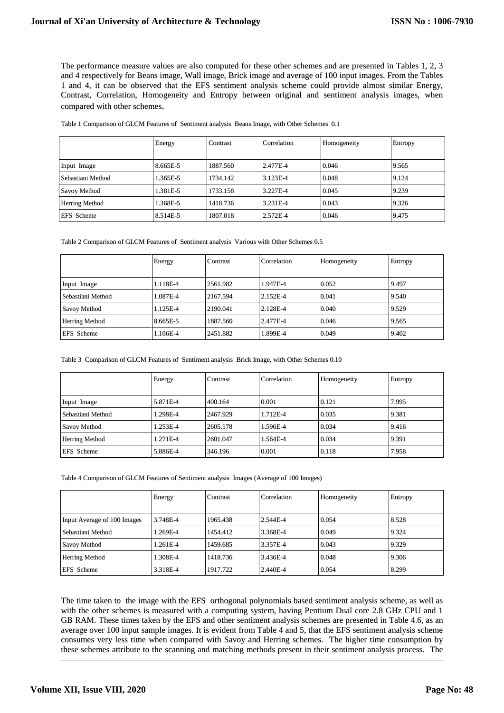The performance measure values are also computed for these other schemes and are presented in Tables 1, 2, 3 and 4 respectively for Beans image, Wall image, Brick image and average of 100 input images. From the Tables 1 and 4, it can be observed that the EFS sentiment analysis scheme could provide almost similar Energy, Contrast, Correlation, Homogeneity and Entropy between original and sentiment analysis images, when compared with other schemes.

|                       | Energy   | Contrast | Correlation | Homogeneity | Entropy |
|-----------------------|----------|----------|-------------|-------------|---------|
| Input Image           | 8.665E-5 | 1887.560 | 2.477E-4    | 0.046       | 9.565   |
| Sebastiani Method     | 1.365E-5 | 1734.142 | 3.123E-4    | 0.048       | 9.124   |
| Savoy Method          | 1.381E-5 | 1733.158 | 3.227E-4    | 0.045       | 9.239   |
| <b>Herring Method</b> | 1.368E-5 | 1418.736 | 3.231E-4    | 0.043       | 9.326   |
| <b>EFS</b> Scheme     | 8.514E-5 | 1807.018 | 2.572E-4    | 0.046       | 9.475   |

Table 1 Comparison of GLCM Features of Sentiment analysis Beans Image, with Other Schemes 0.1

Table 2 Comparison of GLCM Features of Sentiment analysis Various with Other Schemes 0.5

|                       | Energy   | Contrast | Correlation | Homogeneity | Entropy |
|-----------------------|----------|----------|-------------|-------------|---------|
| Input Image           | 1.118E-4 | 2561.982 | 1.947E-4    | 0.052       | 9.497   |
| Sebastiani Method     | 1.087E-4 | 2167.594 | 2.152E-4    | 0.041       | 9.540   |
| Savoy Method          | 1.125E-4 | 2190.041 | 2.128E-4    | 0.040       | 9.529   |
| <b>Herring Method</b> | 8.665E-5 | 1887.560 | 2.477E-4    | 0.046       | 9.565   |
| <b>EFS</b> Scheme     | 1.106E-4 | 2451.882 | 1.899E-4    | 0.049       | 9.402   |

Table 3 Comparison of GLCM Features of Sentiment analysis Brick Image, with Other Schemes 0.10

|                       | Energy   | Contrast | Correlation | Homogeneity | Entropy |
|-----------------------|----------|----------|-------------|-------------|---------|
|                       |          |          |             |             |         |
| Input Image           | 5.871E-4 | 400.164  | 0.001       | 0.121       | 7.995   |
| Sebastiani Method     | 1.298E-4 | 2467.929 | 1.712E-4    | 0.035       | 9.381   |
| Savoy Method          | 1.253E-4 | 2605.178 | 1.596E-4    | 0.034       | 9.416   |
| <b>Herring Method</b> | 1.271E-4 | 2601.047 | 1.564E-4    | 0.034       | 9.391   |
| <b>EFS</b> Scheme     | 5.886E-4 | 346.196  | 0.001       | 0.118       | 7.958   |

Table 4 Comparison of GLCM Features of Sentiment analysis Images (Average of 100 Images)

|                             | Energy   | Contrast | Correlation | Homogeneity | Entropy |
|-----------------------------|----------|----------|-------------|-------------|---------|
| Input Average of 100 Images | 3.748E-4 | 1965.438 | 2.544E-4    | 0.054       | 8.528   |
| Sebastiani Method           | 1.269E-4 | 1454.412 | 3.368E-4    | 0.049       | 9.324   |
| Savoy Method                | 1.261E-4 | 1459.685 | 3.357E-4    | 0.043       | 9.329   |
| <b>Herring Method</b>       | 1.308E-4 | 1418.736 | 3.436E-4    | 0.048       | 9.306   |
| <b>EFS</b> Scheme           | 3.318E-4 | 1917.722 | 2.440E-4    | 0.054       | 8.299   |

The time taken to the image with the EFS orthogonal polynomials based sentiment analysis scheme, as well as with the other schemes is measured with a computing system, having Pentium Dual core 2.8 GHz CPU and 1 GB RAM. These times taken by the EFS and other sentiment analysis schemes are presented in Table 4.6, as an average over 100 input sample images. It is evident from Table 4 and 5, that the EFS sentiment analysis scheme consumes very less time when compared with Savoy and Herring schemes. The higher time consumption by these schemes attribute to the scanning and matching methods present in their sentiment analysis process. The